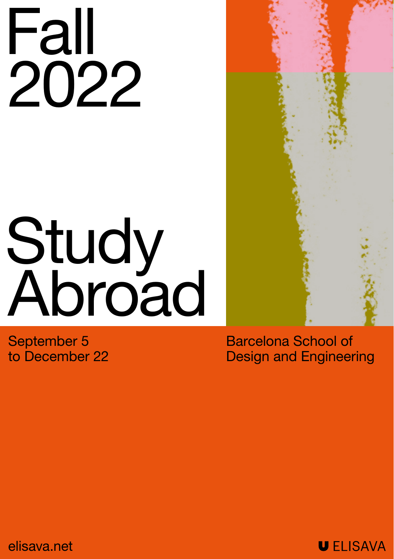# Fall 2022

# Study **Abroad**

September 5 to December 22 Barcelona School of Design and Engineering

elisava.net

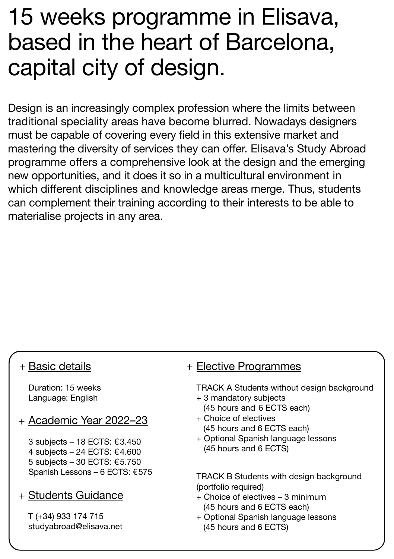### 15 weeks programme in Elisava, based in the heart of Barcelona, capital city of design.

Design is an increasingly complex profession where the limits between traditional speciality areas have become blurred. Nowadays designers must be capable of covering every field in this extensive market and mastering the diversity of services they can offer. Elisava's Study Abroad programme offers a comprehensive look at the design and the emerging new opportunities, and it does it so in a multicultural environment in which different disciplines and knowledge areas merge. Thus, students can complement their training according to their interests to be able to materialise projects in any area.

#### + Basic details

Duration: 15 weeks Language: English

#### + Academic Year 2022–23

3 subjects – 18 ECTS: €3.450 4 subjects – 24 ECTS: €4.600 5 subjects – 30 ECTS: €5.750 Spanish Lessons – 6 ECTS: €575

#### + Students Guidance

T (+34) 933 174 715 studyabroad@elisava.net

#### + Elective Programmes

TRACK A Students without design background

- + 3 mandatory subjects (45 hours and 6 ECTS each)
- + Choice of electives (45 hours and 6 ECTS each)
- + Optional Spanish language lessons (45 hours and 6 ECTS)

TRACK B Students with design background (portfolio required)

- + Choice of electives 3 minimum (45 hours and 6 ECTS each)
- + Optional Spanish language lessons (45 hours and 6 ECTS)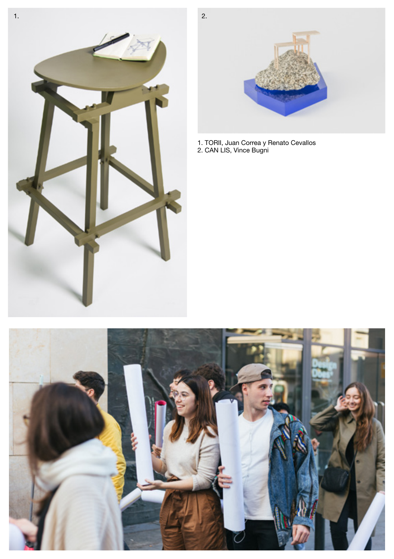



1. TORII, Juan Correa y Renato Cevallos 2. CAN LIS, Vince Bugni

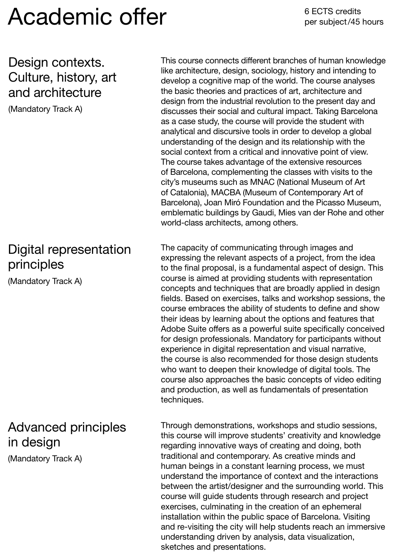## Academic offer

#### Design contexts. Culture, history, art and architecture

(Mandatory Track A)

#### Digital representation principles

(Mandatory Track A)

#### Advanced principles in design

(Mandatory Track A)

This course connects different branches of human knowledge like architecture, design, sociology, history and intending to develop a cognitive map of the world. The course analyses the basic theories and practices of art, architecture and design from the industrial revolution to the present day and discusses their social and cultural impact. Taking Barcelona as a case study, the course will provide the student with analytical and discursive tools in order to develop a global understanding of the design and its relationship with the social context from a critical and innovative point of view. The course takes advantage of the extensive resources of Barcelona, complementing the classes with visits to the city's museums such as MNAC (National Museum of Art of Catalonia), MACBA (Museum of Contemporary Art of Barcelona), Joan Miró Foundation and the Picasso Museum, emblematic buildings by Gaudi, Mies van der Rohe and other world-class architects, among others.

The capacity of communicating through images and expressing the relevant aspects of a project, from the idea to the final proposal, is a fundamental aspect of design. This course is aimed at providing students with representation concepts and techniques that are broadly applied in design fields. Based on exercises, talks and workshop sessions, the course embraces the ability of students to define and show their ideas by learning about the options and features that Adobe Suite offers as a powerful suite specifically conceived for design professionals. Mandatory for participants without experience in digital representation and visual narrative, the course is also recommended for those design students who want to deepen their knowledge of digital tools. The course also approaches the basic concepts of video editing and production, as well as fundamentals of presentation techniques.

Through demonstrations, workshops and studio sessions, this course will improve students' creativity and knowledge regarding innovative ways of creating and doing, both traditional and contemporary. As creative minds and human beings in a constant learning process, we must understand the importance of context and the interactions between the artist/designer and the surrounding world. This course will guide students through research and project exercises, culminating in the creation of an ephemeral installation within the public space of Barcelona. Visiting and re-visiting the city will help students reach an immersive understanding driven by analysis, data visualization, sketches and presentations.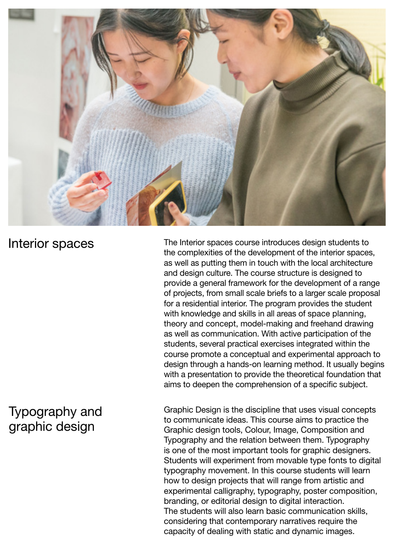

#### Interior spaces

#### and design culture. The course structure is designed to provide a general framework for the development of a range of projects, from small scale briefs to a larger scale proposal for a residential interior. The program provides the student with knowledge and skills in all areas of space planning, theory and concept, model-making and freehand drawing as well as communication. With active participation of the students, several practical exercises integrated within the course promote a conceptual and experimental approach to design through a hands-on learning method. It usually begins with a presentation to provide the theoretical foundation that aims to deepen the comprehension of a specific subject.

The Interior spaces course introduces design students to the complexities of the development of the interior spaces, as well as putting them in touch with the local architecture

### Typography and graphic design

Graphic Design is the discipline that uses visual concepts to communicate ideas. This course aims to practice the Graphic design tools, Colour, Image, Composition and Typography and the relation between them. Typography is one of the most important tools for graphic designers. Students will experiment from movable type fonts to digital typography movement. In this course students will learn how to design projects that will range from artistic and experimental calligraphy, typography, poster composition, branding, or editorial design to digital interaction. The students will also learn basic communication skills, considering that contemporary narratives require the capacity of dealing with static and dynamic images.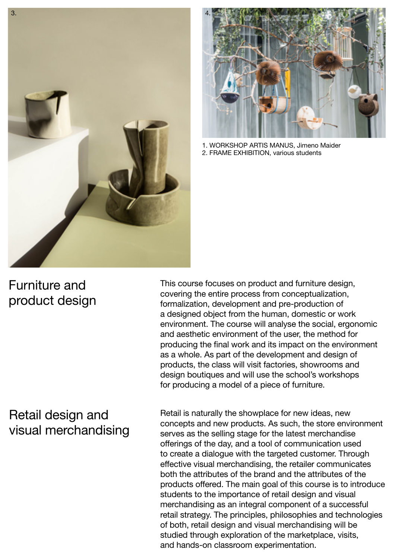



1. WORKSHOP ARTIS MANUS, Jimeno Maider 2. FRAME EXHIBITION, various students

#### Furniture and product design

This course focuses on product and furniture design, covering the entire process from conceptualization, formalization, development and pre-production of a designed object from the human, domestic or work environment. The course will analyse the social, ergonomic and aesthetic environment of the user, the method for producing the final work and its impact on the environment as a whole. As part of the development and design of products, the class will visit factories, showrooms and design boutiques and will use the school's workshops for producing a model of a piece of furniture.

#### Retail design and visual merchandising

Retail is naturally the showplace for new ideas, new concepts and new products. As such, the store environment serves as the selling stage for the latest merchandise offerings of the day, and a tool of communication used to create a dialogue with the targeted customer. Through effective visual merchandising, the retailer communicates both the attributes of the brand and the attributes of the products offered. The main goal of this course is to introduce students to the importance of retail design and visual merchandising as an integral component of a successful retail strategy. The principles, philosophies and technologies of both, retail design and visual merchandising will be studied through exploration of the marketplace, visits, and hands-on classroom experimentation.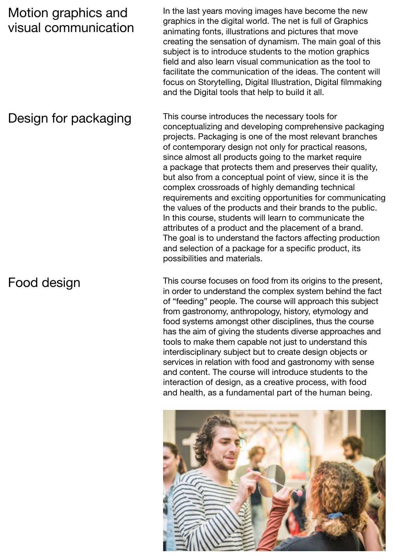#### Motion graphics and visual communication

Design for packaging

Food design

In the last years moving images have become the new graphics in the digital world. The net is full of Graphics animating fonts, illustrations and pictures that move creating the sensation of dynamism. The main goal of this subject is to introduce students to the motion graphics field and also learn visual communication as the tool to facilitate the communication of the ideas. The content will focus on Storytelling, Digital Illustration, Digital filmmaking and the Digital tools that help to build it all.

This course introduces the necessary tools for conceptualizing and developing comprehensive packaging projects. Packaging is one of the most relevant branches of contemporary design not only for practical reasons, since almost all products going to the market require a package that protects them and preserves their quality, but also from a conceptual point of view, since it is the complex crossroads of highly demanding technical requirements and exciting opportunities for communicating the values of the products and their brands to the public. In this course, students will learn to communicate the attributes of a product and the placement of a brand. The goal is to understand the factors affecting production and selection of a package for a specific product, its possibilities and materials.

This course focuses on food from its origins to the present, in order to understand the complex system behind the fact of "feeding" people. The course will approach this subject from gastronomy, anthropology, history, etymology and food systems amongst other disciplines, thus the course has the aim of giving the students diverse approaches and tools to make them capable not just to understand this interdisciplinary subject but to create design objects or services in relation with food and gastronomy with sense and content. The course will introduce students to the interaction of design, as a creative process, with food and health, as a fundamental part of the human being.